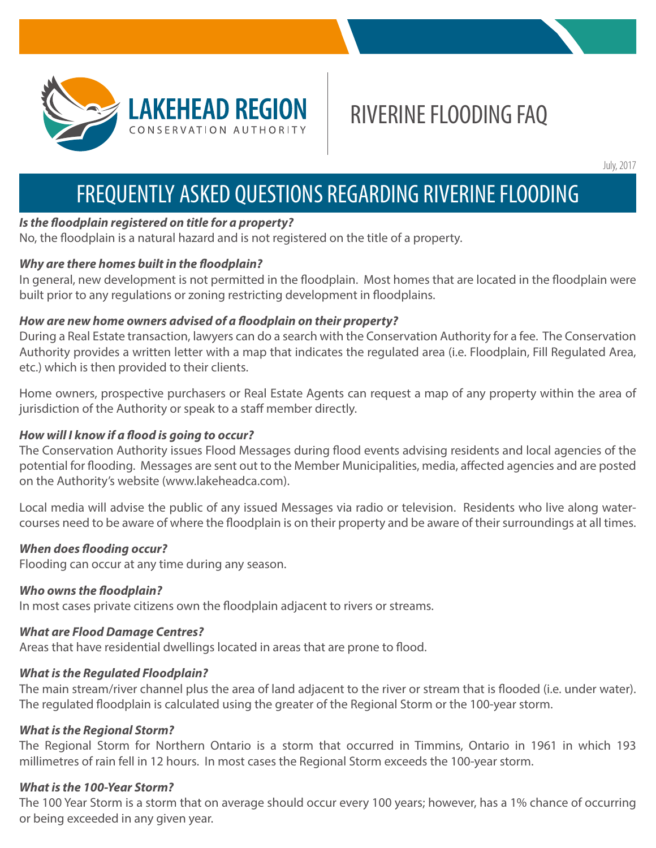

# RIVERINE FLOODING FAQ

July, 2017

## FREQUENTLY ASKED QUESTIONS REGARDING RIVERINE FLOODING

#### *Is the floodplain registered on title for a property?*

No, the floodplain is a natural hazard and is not registered on the title of a property.

#### *Why are there homes built in the floodplain?*

In general, new development is not permitted in the floodplain. Most homes that are located in the floodplain were built prior to any regulations or zoning restricting development in floodplains.

#### *How are new home owners advised of a floodplain on their property?*

During a Real Estate transaction, lawyers can do a search with the Conservation Authority for a fee. The Conservation Authority provides a written letter with a map that indicates the regulated area (i.e. Floodplain, Fill Regulated Area, etc.) which is then provided to their clients.

Home owners, prospective purchasers or Real Estate Agents can request a map of any property within the area of jurisdiction of the Authority or speak to a staff member directly.

#### *How will I know if a flood is going to occur?*

The Conservation Authority issues Flood Messages during flood events advising residents and local agencies of the potential for flooding. Messages are sent out to the Member Municipalities, media, affected agencies and are posted on the Authority's website (www.lakeheadca.com).

Local media will advise the public of any issued Messages via radio or television. Residents who live along watercourses need to be aware of where the floodplain is on their property and be aware of their surroundings at all times.

#### *When does flooding occur?*

Flooding can occur at any time during any season.

#### *Who owns the floodplain?*

In most cases private citizens own the floodplain adjacent to rivers or streams.

#### *What are Flood Damage Centres?*

Areas that have residential dwellings located in areas that are prone to flood.

#### *What is the Regulated Floodplain?*

The main stream/river channel plus the area of land adjacent to the river or stream that is flooded (i.e. under water). The regulated floodplain is calculated using the greater of the Regional Storm or the 100-year storm.

#### *What is the Regional Storm?*

The Regional Storm for Northern Ontario is a storm that occurred in Timmins, Ontario in 1961 in which 193 millimetres of rain fell in 12 hours. In most cases the Regional Storm exceeds the 100-year storm.

#### *What is the 100-Year Storm?*

The 100 Year Storm is a storm that on average should occur every 100 years; however, has a 1% chance of occurring or being exceeded in any given year.